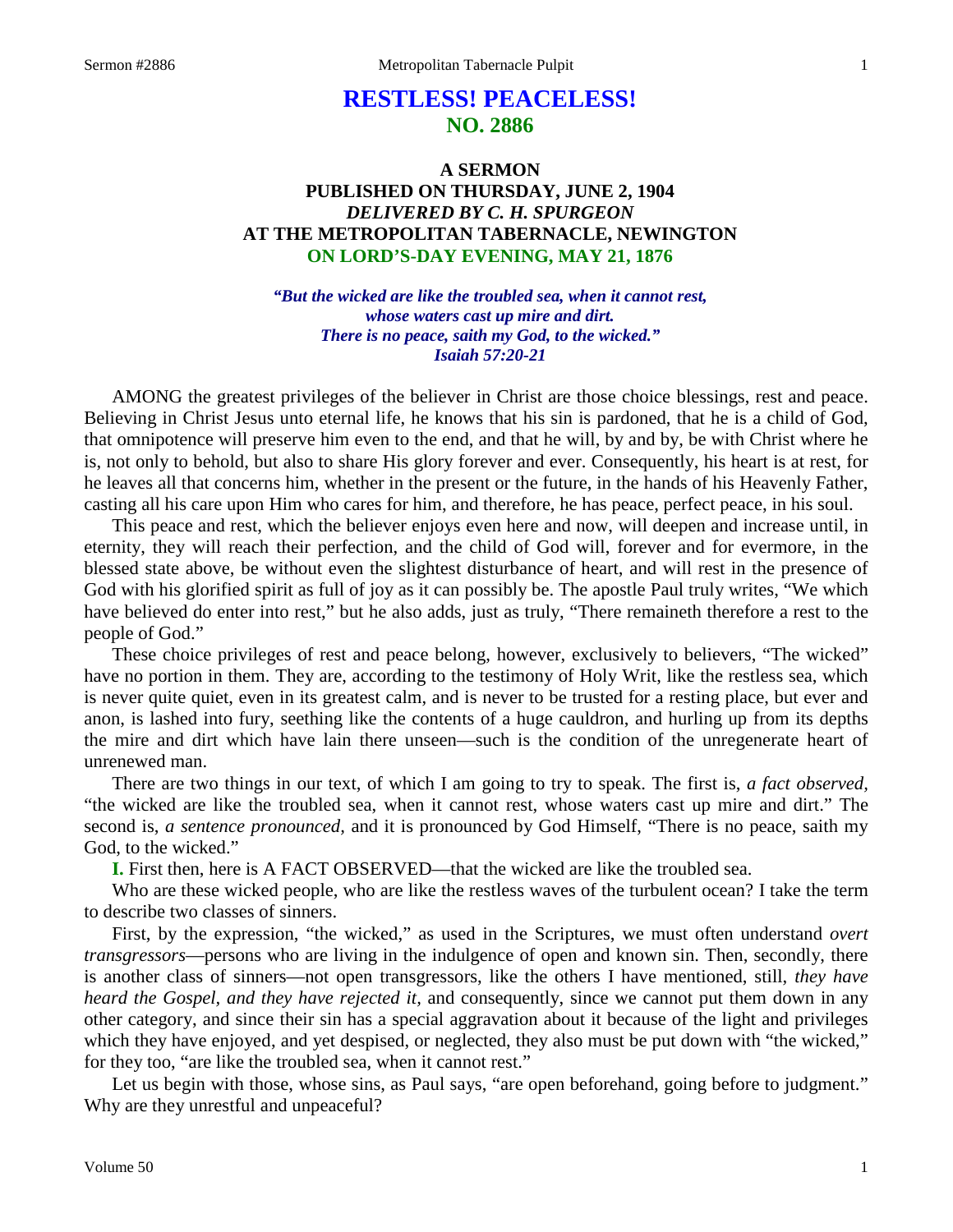# **RESTLESS! PEACELESS! NO. 2886**

# **A SERMON PUBLISHED ON THURSDAY, JUNE 2, 1904** *DELIVERED BY C. H. SPURGEON* **AT THE METROPOLITAN TABERNACLE, NEWINGTON ON LORD'S-DAY EVENING, MAY 21, 1876**

*"But the wicked are like the troubled sea, when it cannot rest, whose waters cast up mire and dirt. There is no peace, saith my God, to the wicked." Isaiah 57:20-21*

AMONG the greatest privileges of the believer in Christ are those choice blessings, rest and peace. Believing in Christ Jesus unto eternal life, he knows that his sin is pardoned, that he is a child of God, that omnipotence will preserve him even to the end, and that he will, by and by, be with Christ where he is, not only to behold, but also to share His glory forever and ever. Consequently, his heart is at rest, for he leaves all that concerns him, whether in the present or the future, in the hands of his Heavenly Father, casting all his care upon Him who cares for him, and therefore, he has peace, perfect peace, in his soul.

This peace and rest, which the believer enjoys even here and now, will deepen and increase until, in eternity, they will reach their perfection, and the child of God will, forever and for evermore, in the blessed state above, be without even the slightest disturbance of heart, and will rest in the presence of God with his glorified spirit as full of joy as it can possibly be. The apostle Paul truly writes, "We which have believed do enter into rest," but he also adds, just as truly, "There remaineth therefore a rest to the people of God."

These choice privileges of rest and peace belong, however, exclusively to believers, "The wicked" have no portion in them. They are, according to the testimony of Holy Writ, like the restless sea, which is never quite quiet, even in its greatest calm, and is never to be trusted for a resting place, but ever and anon, is lashed into fury, seething like the contents of a huge cauldron, and hurling up from its depths the mire and dirt which have lain there unseen—such is the condition of the unregenerate heart of unrenewed man.

There are two things in our text, of which I am going to try to speak. The first is, *a fact observed,* "the wicked are like the troubled sea, when it cannot rest, whose waters cast up mire and dirt." The second is, *a sentence pronounced,* and it is pronounced by God Himself, "There is no peace, saith my God, to the wicked."

**I.** First then, here is A FACT OBSERVED—that the wicked are like the troubled sea.

Who are these wicked people, who are like the restless waves of the turbulent ocean? I take the term to describe two classes of sinners.

First, by the expression, "the wicked," as used in the Scriptures, we must often understand *overt transgressors*—persons who are living in the indulgence of open and known sin. Then, secondly, there is another class of sinners—not open transgressors, like the others I have mentioned, still, *they have heard the Gospel, and they have rejected it,* and consequently, since we cannot put them down in any other category, and since their sin has a special aggravation about it because of the light and privileges which they have enjoyed, and yet despised, or neglected, they also must be put down with "the wicked," for they too, "are like the troubled sea, when it cannot rest."

Let us begin with those, whose sins, as Paul says, "are open beforehand, going before to judgment." Why are they unrestful and unpeaceful?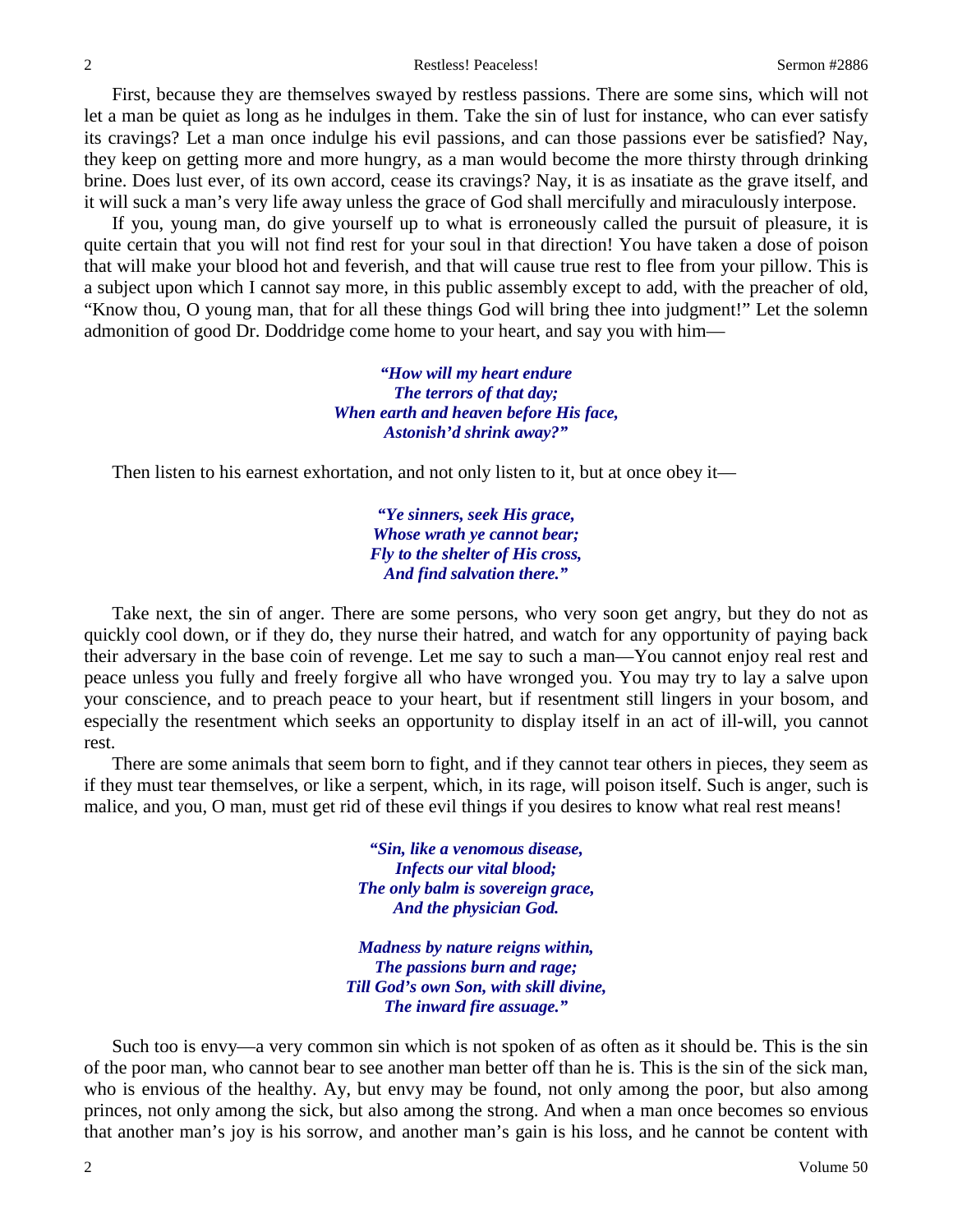First, because they are themselves swayed by restless passions. There are some sins, which will not let a man be quiet as long as he indulges in them. Take the sin of lust for instance, who can ever satisfy its cravings? Let a man once indulge his evil passions, and can those passions ever be satisfied? Nay, they keep on getting more and more hungry, as a man would become the more thirsty through drinking brine. Does lust ever, of its own accord, cease its cravings? Nay, it is as insatiate as the grave itself, and it will suck a man's very life away unless the grace of God shall mercifully and miraculously interpose.

If you, young man, do give yourself up to what is erroneously called the pursuit of pleasure, it is quite certain that you will not find rest for your soul in that direction! You have taken a dose of poison that will make your blood hot and feverish, and that will cause true rest to flee from your pillow. This is a subject upon which I cannot say more, in this public assembly except to add, with the preacher of old, "Know thou, O young man, that for all these things God will bring thee into judgment!" Let the solemn admonition of good Dr. Doddridge come home to your heart, and say you with him—

> *"How will my heart endure The terrors of that day; When earth and heaven before His face, Astonish'd shrink away?"*

Then listen to his earnest exhortation, and not only listen to it, but at once obey it—

*"Ye sinners, seek His grace, Whose wrath ye cannot bear; Fly to the shelter of His cross, And find salvation there."*

Take next, the sin of anger. There are some persons, who very soon get angry, but they do not as quickly cool down, or if they do, they nurse their hatred, and watch for any opportunity of paying back their adversary in the base coin of revenge. Let me say to such a man—You cannot enjoy real rest and peace unless you fully and freely forgive all who have wronged you. You may try to lay a salve upon your conscience, and to preach peace to your heart, but if resentment still lingers in your bosom, and especially the resentment which seeks an opportunity to display itself in an act of ill-will, you cannot rest.

There are some animals that seem born to fight, and if they cannot tear others in pieces, they seem as if they must tear themselves, or like a serpent, which, in its rage, will poison itself. Such is anger, such is malice, and you, O man, must get rid of these evil things if you desires to know what real rest means!

> *"Sin, like a venomous disease, Infects our vital blood; The only balm is sovereign grace, And the physician God.*

*Madness by nature reigns within, The passions burn and rage; Till God's own Son, with skill divine, The inward fire assuage."*

Such too is envy—a very common sin which is not spoken of as often as it should be. This is the sin of the poor man, who cannot bear to see another man better off than he is. This is the sin of the sick man, who is envious of the healthy. Ay, but envy may be found, not only among the poor, but also among princes, not only among the sick, but also among the strong. And when a man once becomes so envious that another man's joy is his sorrow, and another man's gain is his loss, and he cannot be content with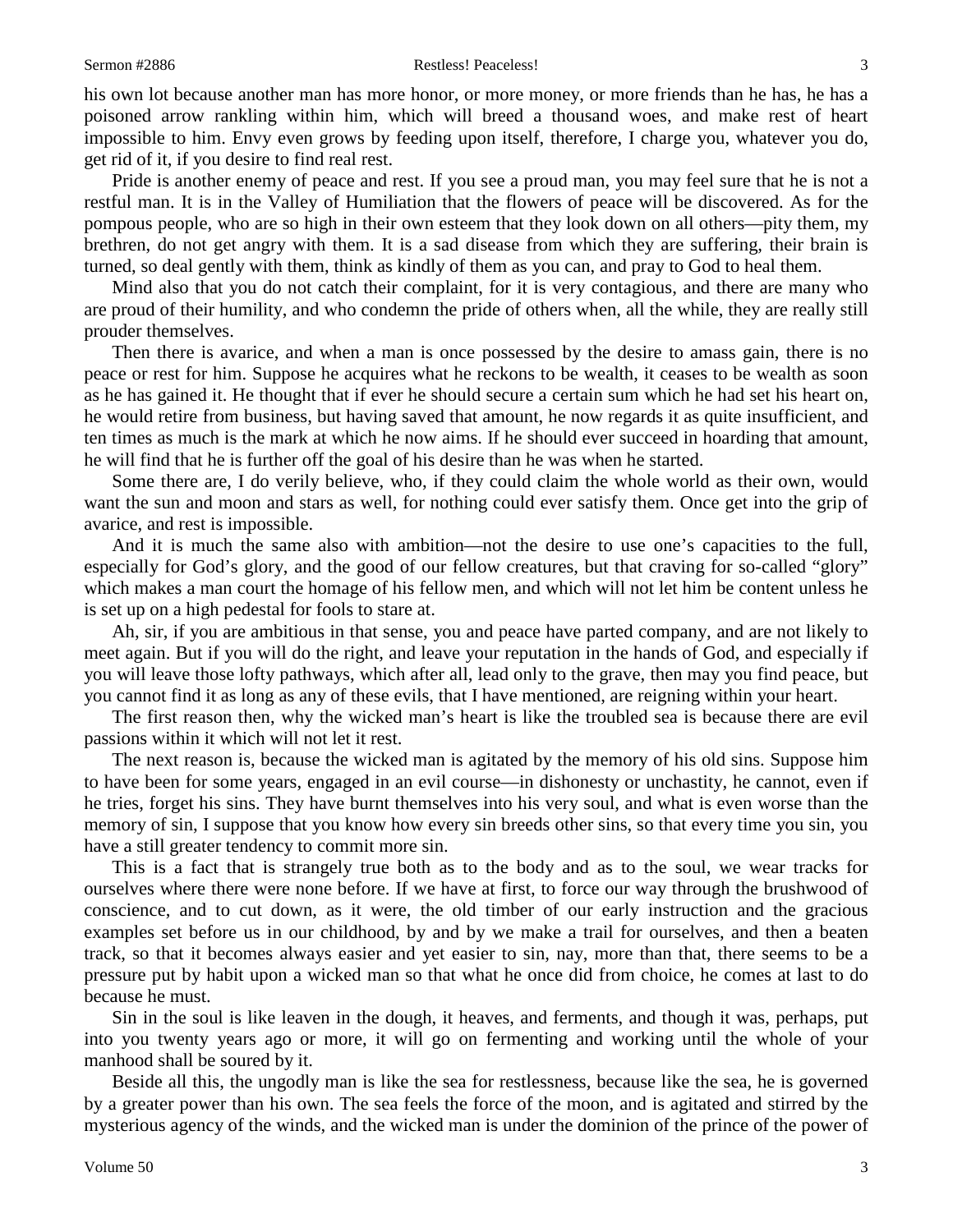his own lot because another man has more honor, or more money, or more friends than he has, he has a poisoned arrow rankling within him, which will breed a thousand woes, and make rest of heart impossible to him. Envy even grows by feeding upon itself, therefore, I charge you, whatever you do, get rid of it, if you desire to find real rest.

Pride is another enemy of peace and rest. If you see a proud man, you may feel sure that he is not a restful man. It is in the Valley of Humiliation that the flowers of peace will be discovered. As for the pompous people, who are so high in their own esteem that they look down on all others—pity them, my brethren, do not get angry with them. It is a sad disease from which they are suffering, their brain is turned, so deal gently with them, think as kindly of them as you can, and pray to God to heal them.

Mind also that you do not catch their complaint, for it is very contagious, and there are many who are proud of their humility, and who condemn the pride of others when, all the while, they are really still prouder themselves.

Then there is avarice, and when a man is once possessed by the desire to amass gain, there is no peace or rest for him. Suppose he acquires what he reckons to be wealth, it ceases to be wealth as soon as he has gained it. He thought that if ever he should secure a certain sum which he had set his heart on, he would retire from business, but having saved that amount, he now regards it as quite insufficient, and ten times as much is the mark at which he now aims. If he should ever succeed in hoarding that amount, he will find that he is further off the goal of his desire than he was when he started.

Some there are, I do verily believe, who, if they could claim the whole world as their own, would want the sun and moon and stars as well, for nothing could ever satisfy them. Once get into the grip of avarice, and rest is impossible.

And it is much the same also with ambition—not the desire to use one's capacities to the full, especially for God's glory, and the good of our fellow creatures, but that craving for so-called "glory" which makes a man court the homage of his fellow men, and which will not let him be content unless he is set up on a high pedestal for fools to stare at.

Ah, sir, if you are ambitious in that sense, you and peace have parted company, and are not likely to meet again. But if you will do the right, and leave your reputation in the hands of God, and especially if you will leave those lofty pathways, which after all, lead only to the grave, then may you find peace, but you cannot find it as long as any of these evils, that I have mentioned, are reigning within your heart.

The first reason then, why the wicked man's heart is like the troubled sea is because there are evil passions within it which will not let it rest.

The next reason is, because the wicked man is agitated by the memory of his old sins. Suppose him to have been for some years, engaged in an evil course—in dishonesty or unchastity, he cannot, even if he tries, forget his sins. They have burnt themselves into his very soul, and what is even worse than the memory of sin, I suppose that you know how every sin breeds other sins, so that every time you sin, you have a still greater tendency to commit more sin.

This is a fact that is strangely true both as to the body and as to the soul, we wear tracks for ourselves where there were none before. If we have at first, to force our way through the brushwood of conscience, and to cut down, as it were, the old timber of our early instruction and the gracious examples set before us in our childhood, by and by we make a trail for ourselves, and then a beaten track, so that it becomes always easier and yet easier to sin, nay, more than that, there seems to be a pressure put by habit upon a wicked man so that what he once did from choice, he comes at last to do because he must.

Sin in the soul is like leaven in the dough, it heaves, and ferments, and though it was, perhaps, put into you twenty years ago or more, it will go on fermenting and working until the whole of your manhood shall be soured by it.

Beside all this, the ungodly man is like the sea for restlessness, because like the sea, he is governed by a greater power than his own. The sea feels the force of the moon, and is agitated and stirred by the mysterious agency of the winds, and the wicked man is under the dominion of the prince of the power of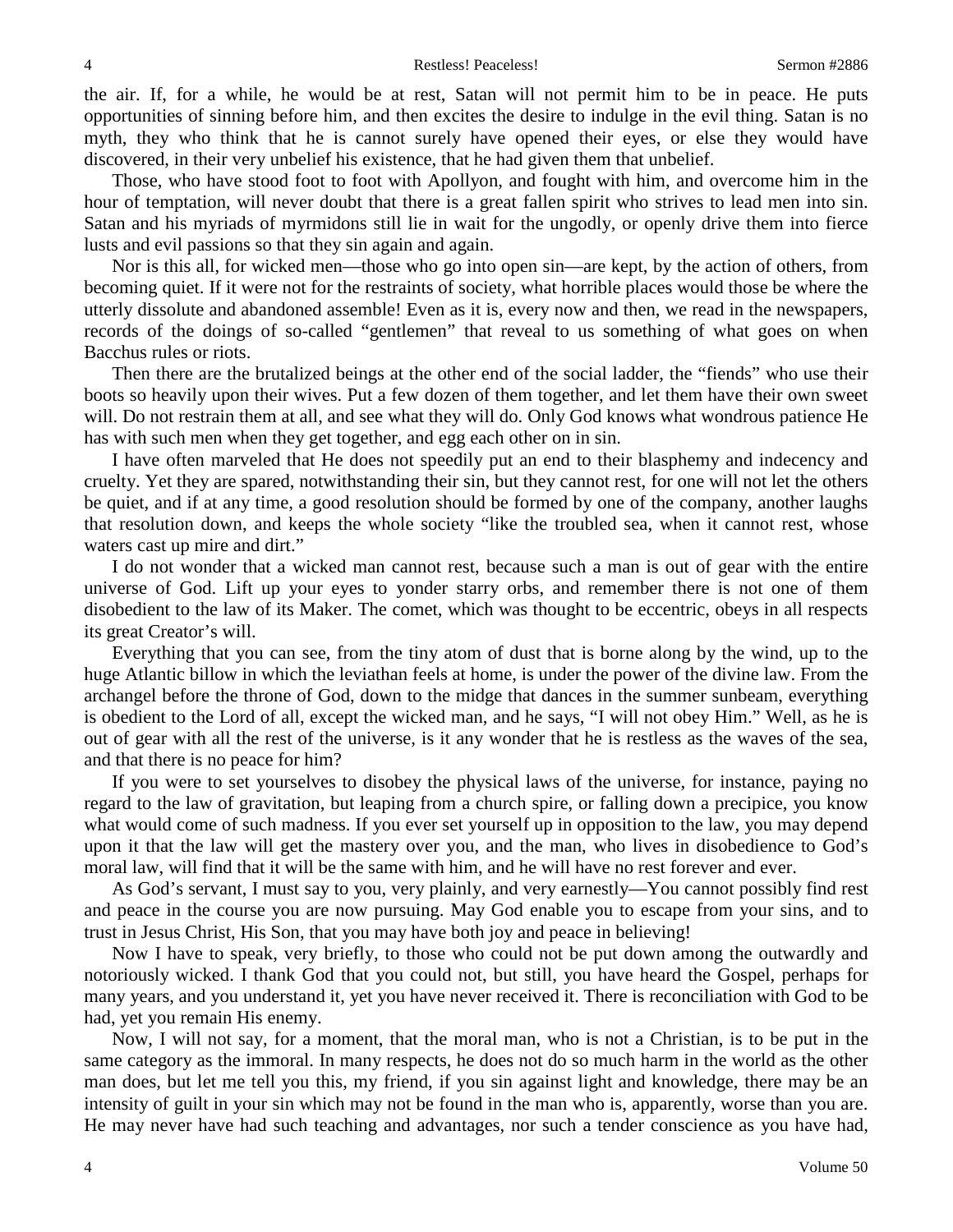the air. If, for a while, he would be at rest, Satan will not permit him to be in peace. He puts opportunities of sinning before him, and then excites the desire to indulge in the evil thing. Satan is no myth, they who think that he is cannot surely have opened their eyes, or else they would have discovered, in their very unbelief his existence, that he had given them that unbelief.

Those, who have stood foot to foot with Apollyon, and fought with him, and overcome him in the hour of temptation, will never doubt that there is a great fallen spirit who strives to lead men into sin. Satan and his myriads of myrmidons still lie in wait for the ungodly, or openly drive them into fierce lusts and evil passions so that they sin again and again.

Nor is this all, for wicked men—those who go into open sin—are kept, by the action of others, from becoming quiet. If it were not for the restraints of society, what horrible places would those be where the utterly dissolute and abandoned assemble! Even as it is, every now and then, we read in the newspapers, records of the doings of so-called "gentlemen" that reveal to us something of what goes on when Bacchus rules or riots.

Then there are the brutalized beings at the other end of the social ladder, the "fiends" who use their boots so heavily upon their wives. Put a few dozen of them together, and let them have their own sweet will. Do not restrain them at all, and see what they will do. Only God knows what wondrous patience He has with such men when they get together, and egg each other on in sin.

I have often marveled that He does not speedily put an end to their blasphemy and indecency and cruelty. Yet they are spared, notwithstanding their sin, but they cannot rest, for one will not let the others be quiet, and if at any time, a good resolution should be formed by one of the company, another laughs that resolution down, and keeps the whole society "like the troubled sea, when it cannot rest, whose waters cast up mire and dirt."

I do not wonder that a wicked man cannot rest, because such a man is out of gear with the entire universe of God. Lift up your eyes to yonder starry orbs, and remember there is not one of them disobedient to the law of its Maker. The comet, which was thought to be eccentric, obeys in all respects its great Creator's will.

Everything that you can see, from the tiny atom of dust that is borne along by the wind, up to the huge Atlantic billow in which the leviathan feels at home, is under the power of the divine law. From the archangel before the throne of God, down to the midge that dances in the summer sunbeam, everything is obedient to the Lord of all, except the wicked man, and he says, "I will not obey Him." Well, as he is out of gear with all the rest of the universe, is it any wonder that he is restless as the waves of the sea, and that there is no peace for him?

If you were to set yourselves to disobey the physical laws of the universe, for instance, paying no regard to the law of gravitation, but leaping from a church spire, or falling down a precipice, you know what would come of such madness. If you ever set yourself up in opposition to the law, you may depend upon it that the law will get the mastery over you, and the man, who lives in disobedience to God's moral law, will find that it will be the same with him, and he will have no rest forever and ever.

As God's servant, I must say to you, very plainly, and very earnestly—You cannot possibly find rest and peace in the course you are now pursuing. May God enable you to escape from your sins, and to trust in Jesus Christ, His Son, that you may have both joy and peace in believing!

Now I have to speak, very briefly, to those who could not be put down among the outwardly and notoriously wicked. I thank God that you could not, but still, you have heard the Gospel, perhaps for many years, and you understand it, yet you have never received it. There is reconciliation with God to be had, yet you remain His enemy.

Now, I will not say, for a moment, that the moral man, who is not a Christian, is to be put in the same category as the immoral. In many respects, he does not do so much harm in the world as the other man does, but let me tell you this, my friend, if you sin against light and knowledge, there may be an intensity of guilt in your sin which may not be found in the man who is, apparently, worse than you are. He may never have had such teaching and advantages, nor such a tender conscience as you have had,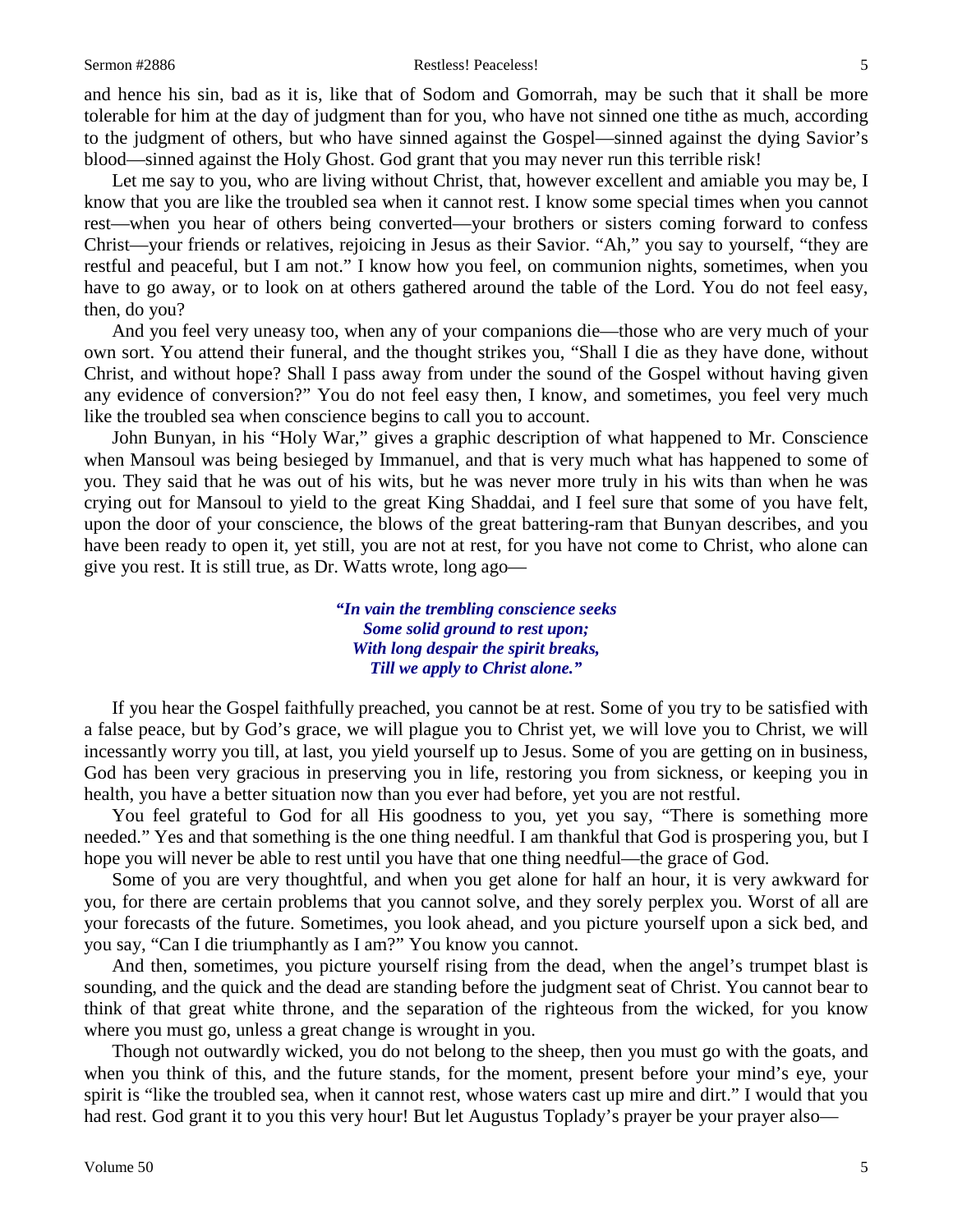and hence his sin, bad as it is, like that of Sodom and Gomorrah, may be such that it shall be more tolerable for him at the day of judgment than for you, who have not sinned one tithe as much, according to the judgment of others, but who have sinned against the Gospel—sinned against the dying Savior's blood—sinned against the Holy Ghost. God grant that you may never run this terrible risk!

Let me say to you, who are living without Christ, that, however excellent and amiable you may be, I know that you are like the troubled sea when it cannot rest. I know some special times when you cannot rest—when you hear of others being converted—your brothers or sisters coming forward to confess Christ—your friends or relatives, rejoicing in Jesus as their Savior. "Ah," you say to yourself, "they are restful and peaceful, but I am not." I know how you feel, on communion nights, sometimes, when you have to go away, or to look on at others gathered around the table of the Lord. You do not feel easy, then, do you?

And you feel very uneasy too, when any of your companions die—those who are very much of your own sort. You attend their funeral, and the thought strikes you, "Shall I die as they have done, without Christ, and without hope? Shall I pass away from under the sound of the Gospel without having given any evidence of conversion?" You do not feel easy then, I know, and sometimes, you feel very much like the troubled sea when conscience begins to call you to account.

John Bunyan, in his "Holy War," gives a graphic description of what happened to Mr. Conscience when Mansoul was being besieged by Immanuel, and that is very much what has happened to some of you. They said that he was out of his wits, but he was never more truly in his wits than when he was crying out for Mansoul to yield to the great King Shaddai, and I feel sure that some of you have felt, upon the door of your conscience, the blows of the great battering-ram that Bunyan describes, and you have been ready to open it, yet still, you are not at rest, for you have not come to Christ, who alone can give you rest. It is still true, as Dr. Watts wrote, long ago—

> *"In vain the trembling conscience seeks Some solid ground to rest upon; With long despair the spirit breaks, Till we apply to Christ alone."*

If you hear the Gospel faithfully preached, you cannot be at rest. Some of you try to be satisfied with a false peace, but by God's grace, we will plague you to Christ yet, we will love you to Christ, we will incessantly worry you till, at last, you yield yourself up to Jesus. Some of you are getting on in business, God has been very gracious in preserving you in life, restoring you from sickness, or keeping you in health, you have a better situation now than you ever had before, yet you are not restful.

You feel grateful to God for all His goodness to you, yet you say, "There is something more needed." Yes and that something is the one thing needful. I am thankful that God is prospering you, but I hope you will never be able to rest until you have that one thing needful—the grace of God.

Some of you are very thoughtful, and when you get alone for half an hour, it is very awkward for you, for there are certain problems that you cannot solve, and they sorely perplex you. Worst of all are your forecasts of the future. Sometimes, you look ahead, and you picture yourself upon a sick bed, and you say, "Can I die triumphantly as I am?" You know you cannot.

And then, sometimes, you picture yourself rising from the dead, when the angel's trumpet blast is sounding, and the quick and the dead are standing before the judgment seat of Christ. You cannot bear to think of that great white throne, and the separation of the righteous from the wicked, for you know where you must go, unless a great change is wrought in you.

Though not outwardly wicked, you do not belong to the sheep, then you must go with the goats, and when you think of this, and the future stands, for the moment, present before your mind's eye, your spirit is "like the troubled sea, when it cannot rest, whose waters cast up mire and dirt." I would that you had rest. God grant it to you this very hour! But let Augustus Toplady's prayer be your prayer also—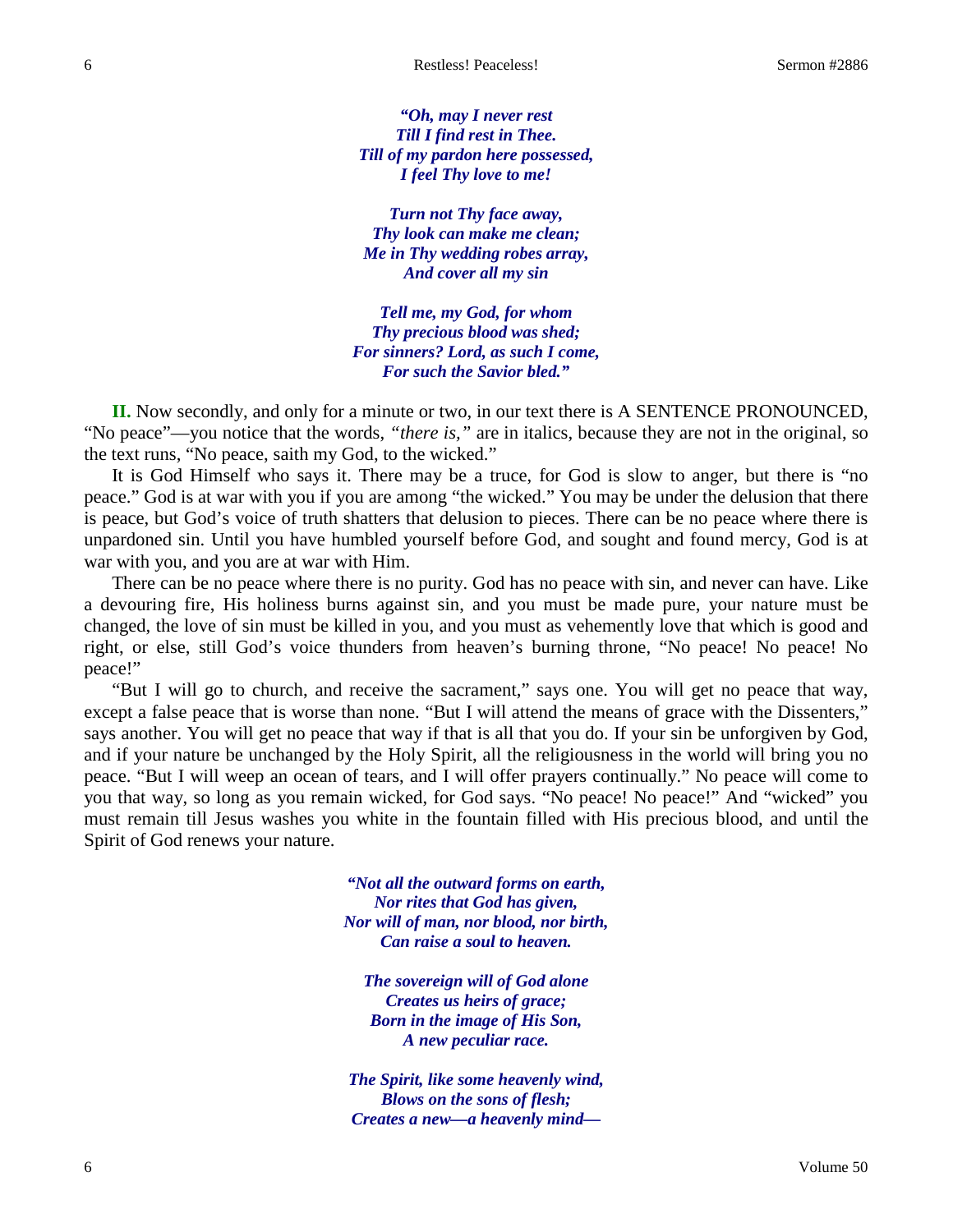*"Oh, may I never rest Till I find rest in Thee. Till of my pardon here possessed, I feel Thy love to me!*

*Turn not Thy face away, Thy look can make me clean; Me in Thy wedding robes array, And cover all my sin*

*Tell me, my God, for whom Thy precious blood was shed; For sinners? Lord, as such I come, For such the Savior bled."*

**II.** Now secondly, and only for a minute or two, in our text there is A SENTENCE PRONOUNCED, "No peace"—you notice that the words, *"there is,"* are in italics, because they are not in the original, so the text runs, "No peace, saith my God, to the wicked."

It is God Himself who says it. There may be a truce, for God is slow to anger, but there is "no peace." God is at war with you if you are among "the wicked." You may be under the delusion that there is peace, but God's voice of truth shatters that delusion to pieces. There can be no peace where there is unpardoned sin. Until you have humbled yourself before God, and sought and found mercy, God is at war with you, and you are at war with Him.

There can be no peace where there is no purity. God has no peace with sin, and never can have. Like a devouring fire, His holiness burns against sin, and you must be made pure, your nature must be changed, the love of sin must be killed in you, and you must as vehemently love that which is good and right, or else, still God's voice thunders from heaven's burning throne, "No peace! No peace! No peace!"

"But I will go to church, and receive the sacrament," says one. You will get no peace that way, except a false peace that is worse than none. "But I will attend the means of grace with the Dissenters," says another. You will get no peace that way if that is all that you do. If your sin be unforgiven by God, and if your nature be unchanged by the Holy Spirit, all the religiousness in the world will bring you no peace. "But I will weep an ocean of tears, and I will offer prayers continually." No peace will come to you that way, so long as you remain wicked, for God says. "No peace! No peace!" And "wicked" you must remain till Jesus washes you white in the fountain filled with His precious blood, and until the Spirit of God renews your nature.

> *"Not all the outward forms on earth, Nor rites that God has given, Nor will of man, nor blood, nor birth, Can raise a soul to heaven.*

*The sovereign will of God alone Creates us heirs of grace; Born in the image of His Son, A new peculiar race.*

*The Spirit, like some heavenly wind, Blows on the sons of flesh; Creates a new—a heavenly mind—*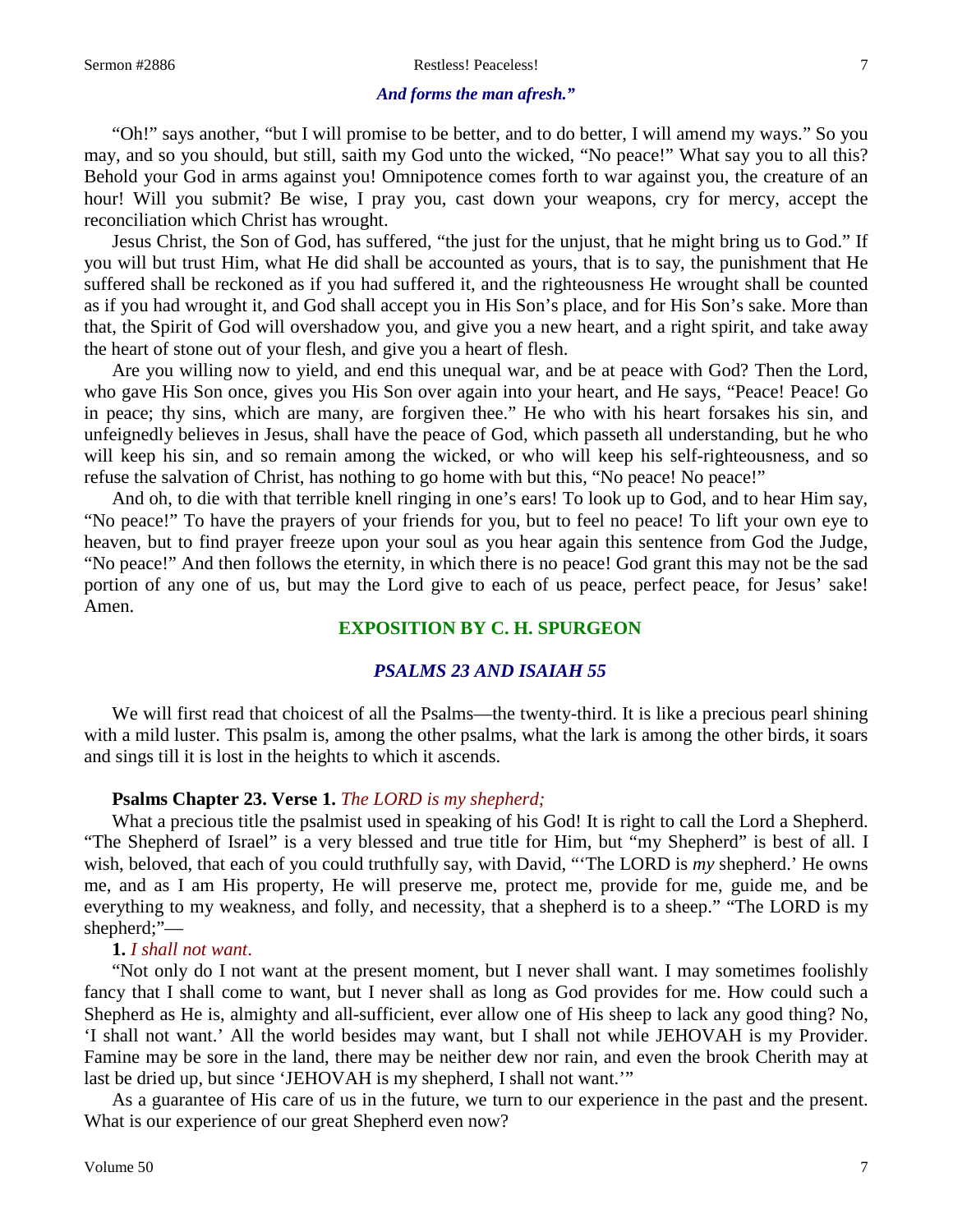#### *And forms the man afresh."*

"Oh!" says another, "but I will promise to be better, and to do better, I will amend my ways." So you may, and so you should, but still, saith my God unto the wicked, "No peace!" What say you to all this? Behold your God in arms against you! Omnipotence comes forth to war against you, the creature of an hour! Will you submit? Be wise, I pray you, cast down your weapons, cry for mercy, accept the reconciliation which Christ has wrought.

Jesus Christ, the Son of God, has suffered, "the just for the unjust, that he might bring us to God." If you will but trust Him, what He did shall be accounted as yours, that is to say, the punishment that He suffered shall be reckoned as if you had suffered it, and the righteousness He wrought shall be counted as if you had wrought it, and God shall accept you in His Son's place, and for His Son's sake. More than that, the Spirit of God will overshadow you, and give you a new heart, and a right spirit, and take away the heart of stone out of your flesh, and give you a heart of flesh.

Are you willing now to yield, and end this unequal war, and be at peace with God? Then the Lord, who gave His Son once, gives you His Son over again into your heart, and He says, "Peace! Peace! Go in peace; thy sins, which are many, are forgiven thee." He who with his heart forsakes his sin, and unfeignedly believes in Jesus, shall have the peace of God, which passeth all understanding, but he who will keep his sin, and so remain among the wicked, or who will keep his self-righteousness, and so refuse the salvation of Christ, has nothing to go home with but this, "No peace! No peace!"

And oh, to die with that terrible knell ringing in one's ears! To look up to God, and to hear Him say, "No peace!" To have the prayers of your friends for you, but to feel no peace! To lift your own eye to heaven, but to find prayer freeze upon your soul as you hear again this sentence from God the Judge, "No peace!" And then follows the eternity, in which there is no peace! God grant this may not be the sad portion of any one of us, but may the Lord give to each of us peace, perfect peace, for Jesus' sake! Amen.

## **EXPOSITION BY C. H. SPURGEON**

## *PSALMS 23 AND ISAIAH 55*

We will first read that choicest of all the Psalms—the twenty-third. It is like a precious pearl shining with a mild luster. This psalm is, among the other psalms, what the lark is among the other birds, it soars and sings till it is lost in the heights to which it ascends.

## **Psalms Chapter 23. Verse 1.** *The LORD is my shepherd;*

What a precious title the psalmist used in speaking of his God! It is right to call the Lord a Shepherd. "The Shepherd of Israel" is a very blessed and true title for Him, but "my Shepherd" is best of all. I wish, beloved, that each of you could truthfully say, with David, "'The LORD is *my* shepherd.' He owns me, and as I am His property, He will preserve me, protect me, provide for me, guide me, and be everything to my weakness, and folly, and necessity, that a shepherd is to a sheep." "The LORD is my shepherd;"—

#### **1.** *I shall not want*.

"Not only do I not want at the present moment, but I never shall want. I may sometimes foolishly fancy that I shall come to want, but I never shall as long as God provides for me. How could such a Shepherd as He is, almighty and all-sufficient, ever allow one of His sheep to lack any good thing? No, 'I shall not want.' All the world besides may want, but I shall not while JEHOVAH is my Provider. Famine may be sore in the land, there may be neither dew nor rain, and even the brook Cherith may at last be dried up, but since 'JEHOVAH is my shepherd, I shall not want.'"

As a guarantee of His care of us in the future, we turn to our experience in the past and the present. What is our experience of our great Shepherd even now?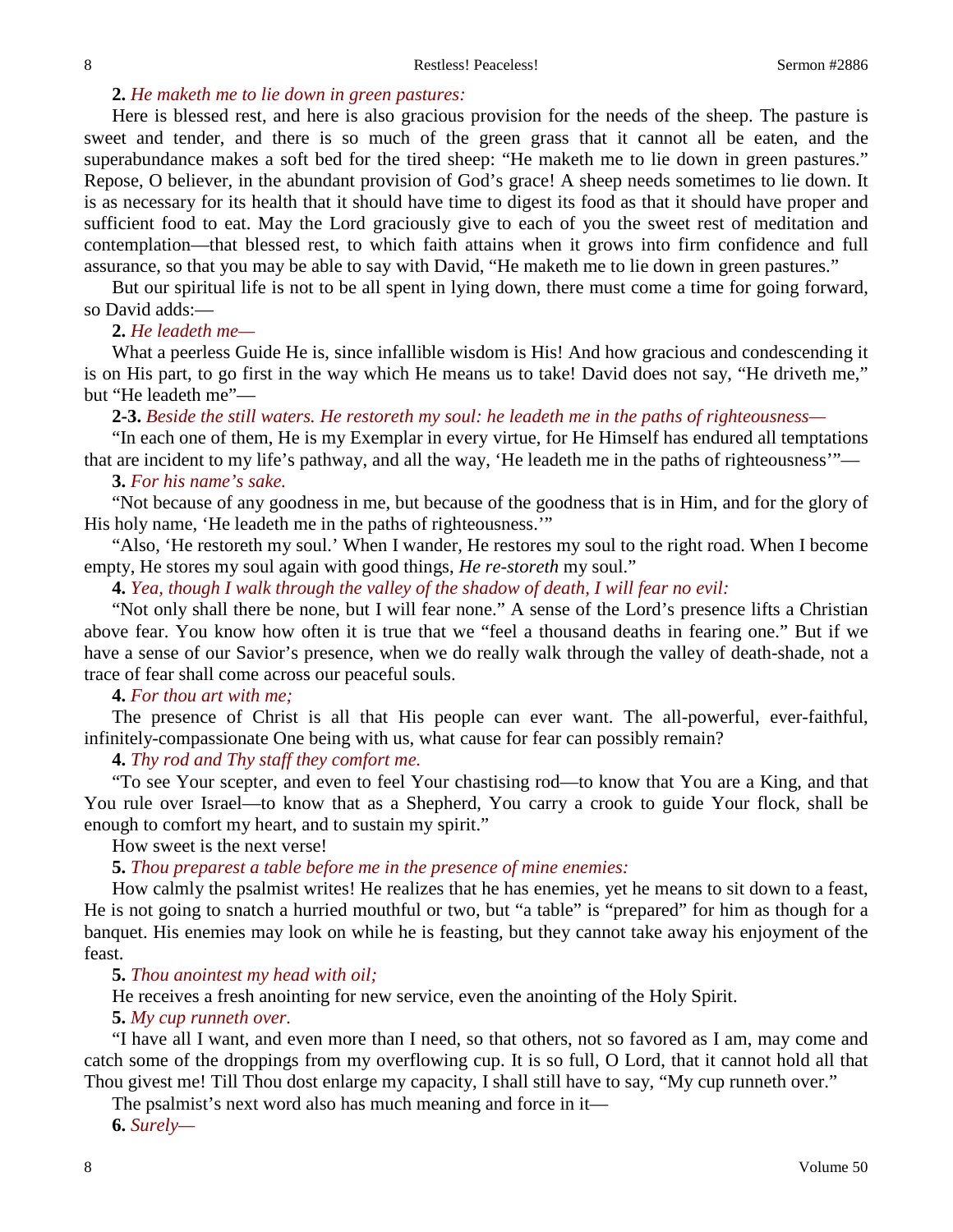## **2.** *He maketh me to lie down in green pastures:*

Here is blessed rest, and here is also gracious provision for the needs of the sheep. The pasture is sweet and tender, and there is so much of the green grass that it cannot all be eaten, and the superabundance makes a soft bed for the tired sheep: "He maketh me to lie down in green pastures." Repose, O believer, in the abundant provision of God's grace! A sheep needs sometimes to lie down. It is as necessary for its health that it should have time to digest its food as that it should have proper and sufficient food to eat. May the Lord graciously give to each of you the sweet rest of meditation and contemplation—that blessed rest, to which faith attains when it grows into firm confidence and full assurance, so that you may be able to say with David, "He maketh me to lie down in green pastures."

But our spiritual life is not to be all spent in lying down, there must come a time for going forward, so David adds:—

## **2.** *He leadeth me—*

What a peerless Guide He is, since infallible wisdom is His! And how gracious and condescending it is on His part, to go first in the way which He means us to take! David does not say, "He driveth me," but "He leadeth me"—

## **2-3.** *Beside the still waters. He restoreth my soul: he leadeth me in the paths of righteousness—*

"In each one of them, He is my Exemplar in every virtue, for He Himself has endured all temptations that are incident to my life's pathway, and all the way, 'He leadeth me in the paths of righteousness'"—

# **3.** *For his name's sake.*

"Not because of any goodness in me, but because of the goodness that is in Him, and for the glory of His holy name, 'He leadeth me in the paths of righteousness.'"

"Also, 'He restoreth my soul.' When I wander, He restores my soul to the right road. When I become empty, He stores my soul again with good things, *He re-storeth* my soul."

**4.** *Yea, though I walk through the valley of the shadow of death, I will fear no evil:*

"Not only shall there be none, but I will fear none." A sense of the Lord's presence lifts a Christian above fear. You know how often it is true that we "feel a thousand deaths in fearing one." But if we have a sense of our Savior's presence, when we do really walk through the valley of death-shade, not a trace of fear shall come across our peaceful souls.

## **4.** *For thou art with me;*

The presence of Christ is all that His people can ever want. The all-powerful, ever-faithful, infinitely-compassionate One being with us, what cause for fear can possibly remain?

**4.** *Thy rod and Thy staff they comfort me.*

"To see Your scepter, and even to feel Your chastising rod—to know that You are a King, and that You rule over Israel—to know that as a Shepherd, You carry a crook to guide Your flock, shall be enough to comfort my heart, and to sustain my spirit."

How sweet is the next verse!

**5.** *Thou preparest a table before me in the presence of mine enemies:*

How calmly the psalmist writes! He realizes that he has enemies, yet he means to sit down to a feast, He is not going to snatch a hurried mouthful or two, but "a table" is "prepared" for him as though for a banquet. His enemies may look on while he is feasting, but they cannot take away his enjoyment of the feast.

**5.** *Thou anointest my head with oil;*

He receives a fresh anointing for new service, even the anointing of the Holy Spirit.

### **5.** *My cup runneth over.*

"I have all I want, and even more than I need, so that others, not so favored as I am, may come and catch some of the droppings from my overflowing cup. It is so full, O Lord, that it cannot hold all that Thou givest me! Till Thou dost enlarge my capacity, I shall still have to say, "My cup runneth over."

The psalmist's next word also has much meaning and force in it—

**6.** *Surely—*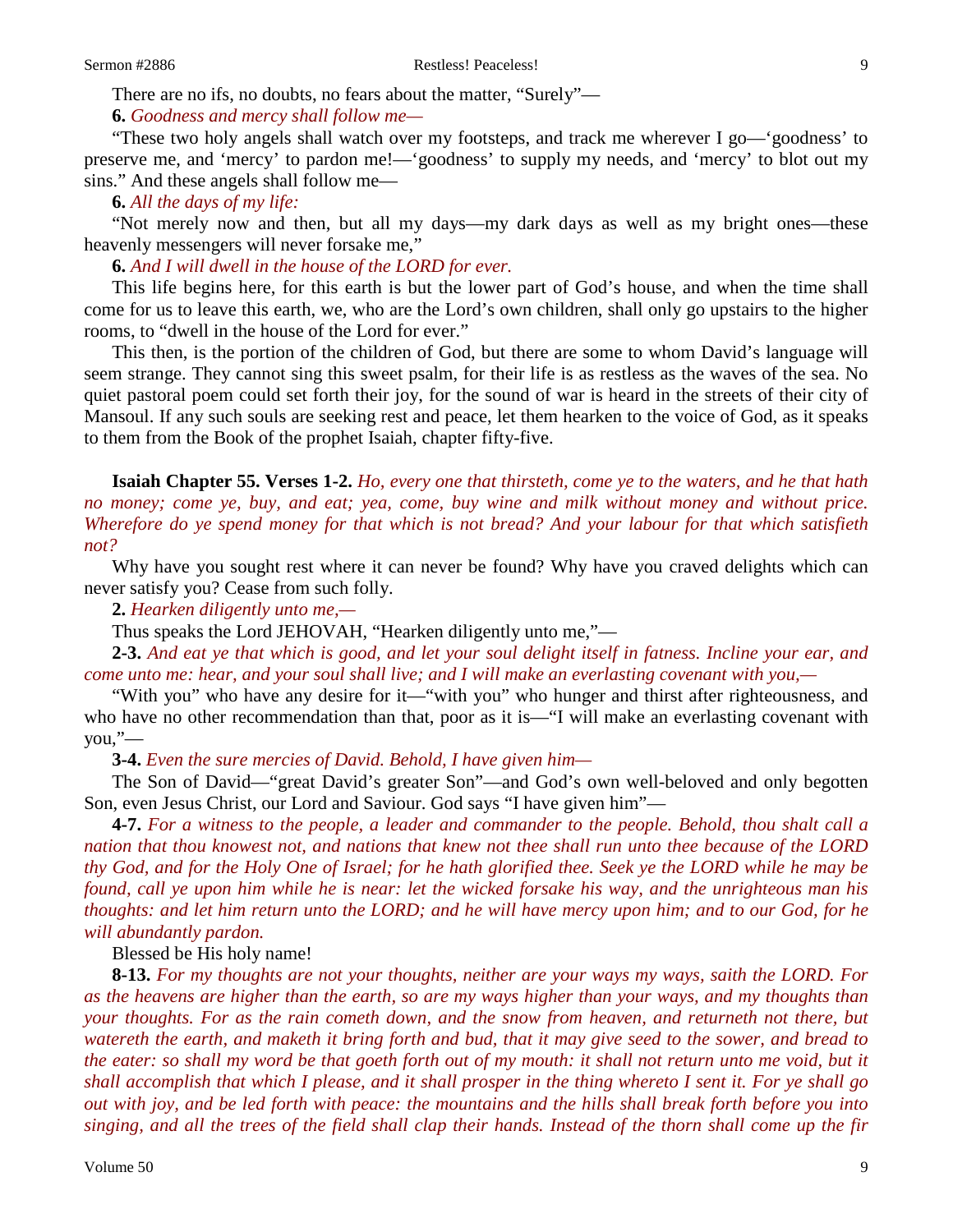There are no ifs, no doubts, no fears about the matter, "Surely"—

**6.** *Goodness and mercy shall follow me—*

"These two holy angels shall watch over my footsteps, and track me wherever I go—'goodness' to preserve me, and 'mercy' to pardon me!—'goodness' to supply my needs, and 'mercy' to blot out my sins." And these angels shall follow me—

#### **6.** *All the days of my life:*

"Not merely now and then, but all my days—my dark days as well as my bright ones—these heavenly messengers will never forsake me,"

**6.** *And I will dwell in the house of the LORD for ever.*

This life begins here, for this earth is but the lower part of God's house, and when the time shall come for us to leave this earth, we, who are the Lord's own children, shall only go upstairs to the higher rooms, to "dwell in the house of the Lord for ever."

This then, is the portion of the children of God, but there are some to whom David's language will seem strange. They cannot sing this sweet psalm, for their life is as restless as the waves of the sea. No quiet pastoral poem could set forth their joy, for the sound of war is heard in the streets of their city of Mansoul. If any such souls are seeking rest and peace, let them hearken to the voice of God, as it speaks to them from the Book of the prophet Isaiah, chapter fifty-five.

**Isaiah Chapter 55. Verses 1-2.** *Ho, every one that thirsteth, come ye to the waters, and he that hath no money; come ye, buy, and eat; yea, come, buy wine and milk without money and without price. Wherefore do ye spend money for that which is not bread? And your labour for that which satisfieth not?*

Why have you sought rest where it can never be found? Why have you craved delights which can never satisfy you? Cease from such folly.

**2.** *Hearken diligently unto me,—*

Thus speaks the Lord JEHOVAH, "Hearken diligently unto me,"—

**2-3.** *And eat ye that which is good, and let your soul delight itself in fatness. Incline your ear, and come unto me: hear, and your soul shall live; and I will make an everlasting covenant with you,—*

"With you" who have any desire for it—"with you" who hunger and thirst after righteousness, and who have no other recommendation than that, poor as it is—"I will make an everlasting covenant with you,"—

**3-4.** *Even the sure mercies of David. Behold, I have given him—*

The Son of David—"great David's greater Son"—and God's own well-beloved and only begotten Son, even Jesus Christ, our Lord and Saviour. God says "I have given him"—

**4-7.** *For a witness to the people, a leader and commander to the people. Behold, thou shalt call a nation that thou knowest not, and nations that knew not thee shall run unto thee because of the LORD thy God, and for the Holy One of Israel; for he hath glorified thee. Seek ye the LORD while he may be found, call ye upon him while he is near: let the wicked forsake his way, and the unrighteous man his thoughts: and let him return unto the LORD; and he will have mercy upon him; and to our God, for he will abundantly pardon.*

Blessed be His holy name!

**8-13.** *For my thoughts are not your thoughts, neither are your ways my ways, saith the LORD. For as the heavens are higher than the earth, so are my ways higher than your ways, and my thoughts than your thoughts. For as the rain cometh down, and the snow from heaven, and returneth not there, but watereth the earth, and maketh it bring forth and bud, that it may give seed to the sower, and bread to the eater: so shall my word be that goeth forth out of my mouth: it shall not return unto me void, but it shall accomplish that which I please, and it shall prosper in the thing whereto I sent it. For ye shall go out with joy, and be led forth with peace: the mountains and the hills shall break forth before you into singing, and all the trees of the field shall clap their hands. Instead of the thorn shall come up the fir*